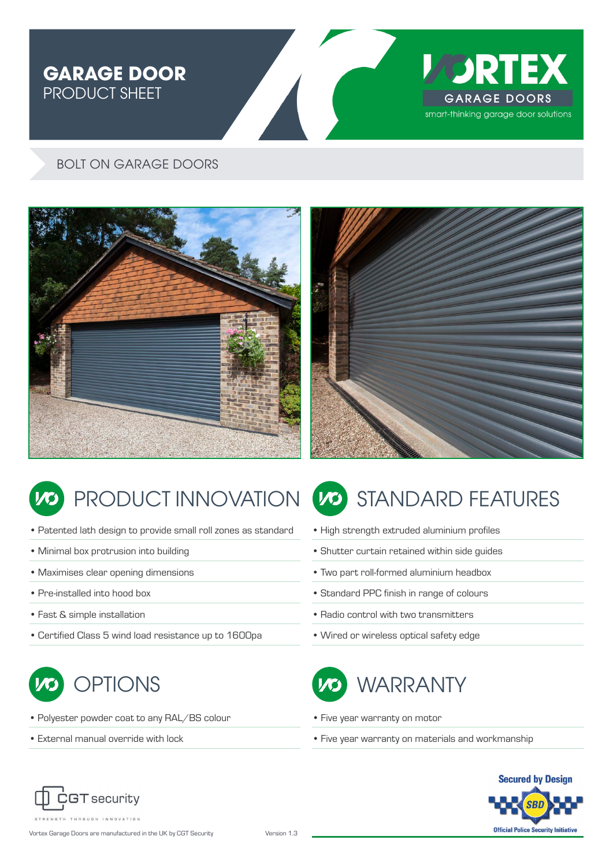# **GARAGE DOOR<br>PRODUCT SHEET** PRODUCT SHEET



#### BOLT ON GARAGE DOORS





- Patented lath design to provide small roll zones as standard
- Minimal box protrusion into building
- Maximises clear opening dimensions
- Pre-installed into hood box
- Fast & simple installation
- Certified Class 5 wind load resistance up to 1600pa



- Polyester powder coat to any RAL/BS colour
- External manual override with lock

# PRODUCT INNOVATION (20) STANDARD FEATURES

- High strength extruded aluminium profiles
- Shutter curtain retained within side guides
- Two part roll-formed aluminium headbox
- Standard PPC finish in range of colours
- Radio control with two transmitters
- Wired or wireless optical safety edge



- Five year warranty on motor
- Five year warranty on materials and workmanship